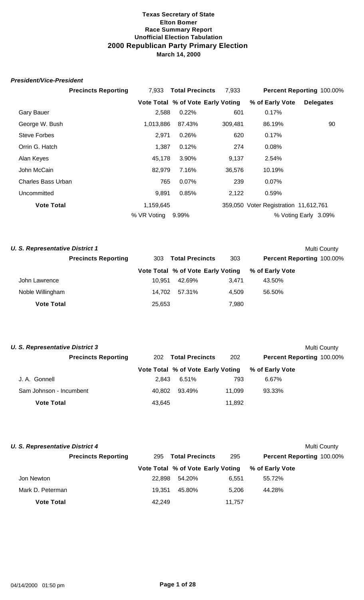#### *President/Vice-President*

|                           | <b>Precincts Reporting</b> | 7.933       | <b>Total Precincts</b> | 7,933                             |                                       | Percent Reporting 100.00% |
|---------------------------|----------------------------|-------------|------------------------|-----------------------------------|---------------------------------------|---------------------------|
|                           |                            |             |                        | Vote Total % of Vote Early Voting | % of Early Vote                       | <b>Delegates</b>          |
| <b>Gary Bauer</b>         |                            | 2,588       | 0.22%                  | 601                               | 0.17%                                 |                           |
| George W. Bush            |                            | 1,013,886   | 87.43%                 | 309,481                           | 86.19%                                | 90                        |
| <b>Steve Forbes</b>       |                            | 2,971       | 0.26%                  | 620                               | 0.17%                                 |                           |
| Orrin G. Hatch            |                            | 1,387       | 0.12%                  | 274                               | 0.08%                                 |                           |
| Alan Keyes                |                            | 45,178      | 3.90%                  | 9,137                             | 2.54%                                 |                           |
| John McCain               |                            | 82,979      | 7.16%                  | 36,576                            | 10.19%                                |                           |
| <b>Charles Bass Urban</b> |                            | 765         | 0.07%                  | 239                               | 0.07%                                 |                           |
| Uncommitted               |                            | 9,891       | 0.85%                  | 2,122                             | 0.59%                                 |                           |
| <b>Vote Total</b>         |                            | 1,159,645   |                        |                                   | 359,050 Voter Registration 11,612,761 |                           |
|                           |                            | % VR Voting | 9.99%                  |                                   |                                       | % Voting Early 3.09%      |

|     |        |                                                      | Multi County                      |
|-----|--------|------------------------------------------------------|-----------------------------------|
| 303 |        | 303                                                  | Percent Reporting 100.00%         |
|     |        |                                                      | % of Early Vote                   |
|     | 42.69% | 3.471                                                | 43.50%                            |
|     | 57.31% | 4.509                                                | 56.50%                            |
|     |        | 7,980                                                |                                   |
|     |        | <b>Total Precincts</b><br>10.951<br>14.702<br>25,653 | Vote Total % of Vote Early Voting |

| <b>U. S. Representative District 3</b> |                               |                                   |        | Multi County              |  |  |
|----------------------------------------|-------------------------------|-----------------------------------|--------|---------------------------|--|--|
| <b>Precincts Reporting</b>             | <b>Total Precincts</b><br>202 |                                   | 202    | Percent Reporting 100.00% |  |  |
|                                        |                               | Vote Total % of Vote Early Voting |        | % of Early Vote           |  |  |
| J. A. Gonnell                          | 2.843                         | 6.51%                             | 793    | 6.67%                     |  |  |
| Sam Johnson - Incumbent                | 40.802                        | 93.49%                            | 11.099 | 93.33%                    |  |  |
| <b>Vote Total</b>                      | 43,645                        |                                   | 11,892 |                           |  |  |

| <b>U. S. Representative District 4</b> |                            |        |                                   |        |                           | Multi County |
|----------------------------------------|----------------------------|--------|-----------------------------------|--------|---------------------------|--------------|
|                                        | <b>Precincts Reporting</b> | 295    | <b>Total Precincts</b>            | 295    | Percent Reporting 100.00% |              |
|                                        |                            |        | Vote Total % of Vote Early Voting |        | % of Early Vote           |              |
| Jon Newton                             |                            | 22.898 | 54.20%                            | 6.551  | 55.72%                    |              |
| Mark D. Peterman                       |                            | 19.351 | 45.80%                            | 5.206  | 44.28%                    |              |
| <b>Vote Total</b>                      |                            | 42.249 |                                   | 11.757 |                           |              |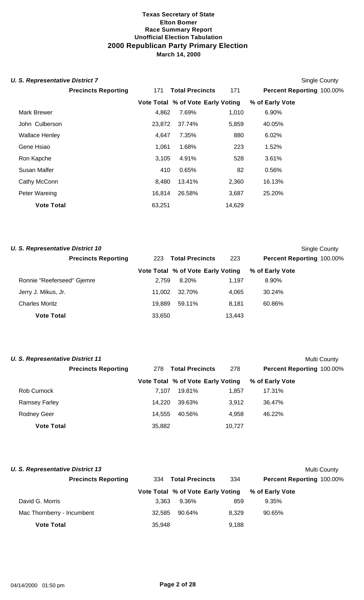## **U. S. Representative District 7** Single County

|                       |                            |        |                                   |        |                 | "                         |
|-----------------------|----------------------------|--------|-----------------------------------|--------|-----------------|---------------------------|
|                       | <b>Precincts Reporting</b> | 171    | <b>Total Precincts</b>            | 171    |                 | Percent Reporting 100.00% |
|                       |                            |        | Vote Total % of Vote Early Voting |        | % of Early Vote |                           |
| <b>Mark Brewer</b>    |                            | 4,862  | 7.69%                             | 1,010  | 6.90%           |                           |
| John Culberson        |                            | 23,872 | 37.74%                            | 5,859  | 40.05%          |                           |
| <b>Wallace Henley</b> |                            | 4,647  | 7.35%                             | 880    | 6.02%           |                           |
| Gene Hsiao            |                            | 1,061  | 1.68%                             | 223    | 1.52%           |                           |
| Ron Kapche            |                            | 3,105  | 4.91%                             | 528    | 3.61%           |                           |
| Susan Malfer          |                            | 410    | 0.65%                             | 82     | 0.56%           |                           |
| Cathy McConn          |                            | 8,480  | 13.41%                            | 2,360  | 16.13%          |                           |
| Peter Wareing         |                            | 16,814 | 26.58%                            | 3,687  | 25.20%          |                           |
| <b>Vote Total</b>     |                            | 63,251 |                                   | 14,629 |                 |                           |
|                       |                            |        |                                   |        |                 |                           |

| <b>U. S. Representative District 10</b> |        |                                   |        |                           | Single County |
|-----------------------------------------|--------|-----------------------------------|--------|---------------------------|---------------|
| <b>Precincts Reporting</b>              | 223    | <b>Total Precincts</b>            | 223    | Percent Reporting 100.00% |               |
|                                         |        | Vote Total % of Vote Early Voting |        | % of Early Vote           |               |
| Ronnie "Reeferseed" Gjemre              | 2.759  | 8.20%                             | 1.197  | 8.90%                     |               |
| Jerry J. Mikus, Jr.                     | 11.002 | 32.70%                            | 4.065  | 30.24%                    |               |
| <b>Charles Moritz</b>                   | 19.889 | 59.11%                            | 8.181  | 60.86%                    |               |
| <b>Vote Total</b>                       | 33,650 |                                   | 13,443 |                           |               |

| <b>U. S. Representative District 11</b> |                            |        |                                   |        |                           | <b>Multi County</b> |
|-----------------------------------------|----------------------------|--------|-----------------------------------|--------|---------------------------|---------------------|
|                                         | <b>Precincts Reporting</b> | 278    | <b>Total Precincts</b>            | 278    | Percent Reporting 100.00% |                     |
|                                         |                            |        | Vote Total % of Vote Early Voting |        | % of Early Vote           |                     |
| Rob Curnock                             |                            | 7.107  | 19.81%                            | 1,857  | 17.31%                    |                     |
| <b>Ramsey Farley</b>                    |                            | 14.220 | 39.63%                            | 3.912  | 36.47%                    |                     |
| <b>Rodney Geer</b>                      |                            | 14.555 | 40.56%                            | 4.958  | 46.22%                    |                     |
| <b>Vote Total</b>                       |                            | 35,882 |                                   | 10.727 |                           |                     |

| <b>U. S. Representative District 13</b> |        |                                   |       |                           | Multi County |
|-----------------------------------------|--------|-----------------------------------|-------|---------------------------|--------------|
| <b>Precincts Reporting</b>              |        | 334 Total Precincts               | 334   | Percent Reporting 100.00% |              |
|                                         |        | Vote Total % of Vote Early Voting |       | % of Early Vote           |              |
| David G. Morris                         | 3.363  | 9.36%                             | 859   | 9.35%                     |              |
| Mac Thornberry - Incumbent              | 32.585 | 90.64%                            | 8.329 | 90.65%                    |              |
| <b>Vote Total</b>                       | 35,948 |                                   | 9,188 |                           |              |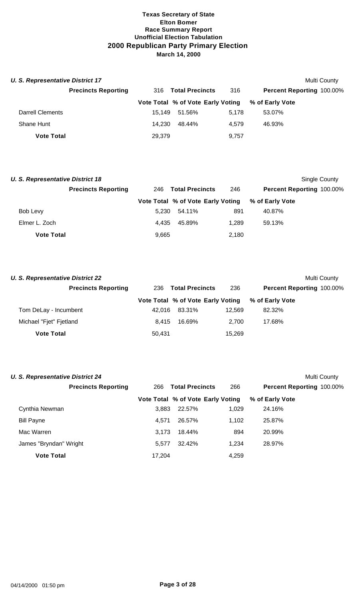| <b>U. S. Representative District 17</b> |                            |        |                                   |       |                           | Multi County |
|-----------------------------------------|----------------------------|--------|-----------------------------------|-------|---------------------------|--------------|
|                                         | <b>Precincts Reporting</b> | 316    | <b>Total Precincts</b>            | 316   | Percent Reporting 100.00% |              |
|                                         |                            |        | Vote Total % of Vote Early Voting |       | % of Early Vote           |              |
| <b>Darrell Clements</b>                 |                            | 15.149 | 51.56%                            | 5.178 | 53.07%                    |              |
| Shane Hunt                              |                            | 14.230 | 48.44%                            | 4.579 | 46.93%                    |              |
| <b>Vote Total</b>                       |                            | 29.379 |                                   | 9.757 |                           |              |

| <b>U. S. Representative District 18</b> |                            |       |                                   |                        |                 | Single County             |  |
|-----------------------------------------|----------------------------|-------|-----------------------------------|------------------------|-----------------|---------------------------|--|
|                                         | <b>Precincts Reporting</b> | 246   |                                   | <b>Total Precincts</b> | 246             | Percent Reporting 100.00% |  |
|                                         |                            |       | Vote Total % of Vote Early Voting |                        | % of Early Vote |                           |  |
| Bob Levy                                |                            | 5.230 | 54.11%                            | 891                    | 40.87%          |                           |  |
| Elmer L. Zoch                           |                            | 4.435 | 45.89%                            | 1.289                  | 59.13%          |                           |  |
| <b>Vote Total</b>                       |                            | 9,665 |                                   | 2,180                  |                 |                           |  |

|     |        |                                                     | Multi County                      |
|-----|--------|-----------------------------------------------------|-----------------------------------|
| 236 |        | 236                                                 | <b>Percent Reporting 100.00%</b>  |
|     |        |                                                     | % of Early Vote                   |
|     | 83.31% | 12.569                                              | 82.32%                            |
|     | 16.69% | 2.700                                               | 17.68%                            |
|     |        | 15.269                                              |                                   |
|     |        | <b>Total Precincts</b><br>42.016<br>8.415<br>50,431 | Vote Total % of Vote Early Voting |

| <b>U. S. Representative District 24</b> |        |                                   |       | Multi County              |  |
|-----------------------------------------|--------|-----------------------------------|-------|---------------------------|--|
| <b>Precincts Reporting</b>              | 266    | <b>Total Precincts</b>            | 266   | Percent Reporting 100.00% |  |
|                                         |        | Vote Total % of Vote Early Voting |       | % of Early Vote           |  |
| Cynthia Newman                          | 3,883  | 22.57%                            | 1,029 | 24.16%                    |  |
| <b>Bill Payne</b>                       | 4.571  | 26.57%                            | 1,102 | 25.87%                    |  |
| Mac Warren                              | 3.173  | 18.44%                            | 894   | 20.99%                    |  |
| James "Bryndan" Wright                  | 5.577  | 32.42%                            | 1.234 | 28.97%                    |  |
| <b>Vote Total</b>                       | 17.204 |                                   | 4.259 |                           |  |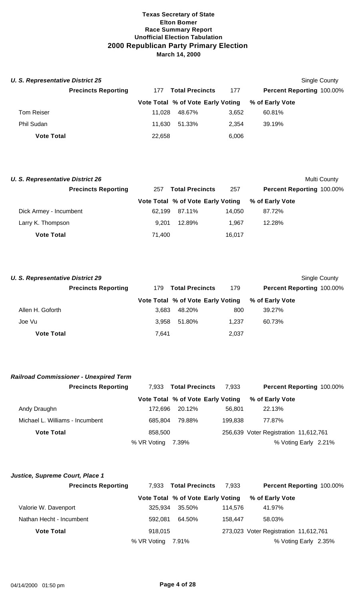| <b>U. S. Representative District 25</b> |                            |        |                                   |       |                                  | Single County |
|-----------------------------------------|----------------------------|--------|-----------------------------------|-------|----------------------------------|---------------|
|                                         | <b>Precincts Reporting</b> | 177    | <b>Total Precincts</b>            | 177   | <b>Percent Reporting 100.00%</b> |               |
|                                         |                            |        | Vote Total % of Vote Early Voting |       | % of Early Vote                  |               |
| <b>Tom Reiser</b>                       |                            | 11.028 | 48.67%                            | 3.652 | 60.81%                           |               |
| Phil Sudan                              |                            | 11.630 | 51.33%                            | 2.354 | 39.19%                           |               |
| <b>Vote Total</b>                       |                            | 22,658 |                                   | 6,006 |                                  |               |

| <b>U. S. Representative District 26</b> |                               |                                   |        | Multi County              |
|-----------------------------------------|-------------------------------|-----------------------------------|--------|---------------------------|
| <b>Precincts Reporting</b>              | <b>Total Precincts</b><br>257 |                                   | 257    | Percent Reporting 100.00% |
|                                         |                               | Vote Total % of Vote Early Voting |        | % of Early Vote           |
| Dick Armey - Incumbent                  | 62.199                        | 87.11%                            | 14.050 | 87.72%                    |
| Larry K. Thompson                       | 9.201                         | 12.89%                            | 1.967  | 12.28%                    |
| <b>Vote Total</b>                       | 71.400                        |                                   | 16,017 |                           |

| <b>U. S. Representative District 29</b> |                            |       |                                   |       | Single County                    |
|-----------------------------------------|----------------------------|-------|-----------------------------------|-------|----------------------------------|
|                                         | <b>Precincts Reporting</b> | 179   | <b>Total Precincts</b>            | 179   | <b>Percent Reporting 100.00%</b> |
|                                         |                            |       | Vote Total % of Vote Early Voting |       | % of Early Vote                  |
| Allen H. Goforth                        |                            | 3.683 | 48.20%                            | 800   | 39.27%                           |
| Joe Vu                                  |                            | 3.958 | 51.80%                            | 1.237 | 60.73%                           |
| <b>Vote Total</b>                       |                            | 7.641 |                                   | 2,037 |                                  |

| <b>Railroad Commissioner - Unexpired Term</b> |             |                                   |         |                                       |
|-----------------------------------------------|-------------|-----------------------------------|---------|---------------------------------------|
| <b>Precincts Reporting</b>                    | 7.933       | <b>Total Precincts</b>            | 7.933   | <b>Percent Reporting 100.00%</b>      |
|                                               |             | Vote Total % of Vote Early Voting |         | % of Early Vote                       |
| Andy Draughn                                  | 172.696     | 20.12%                            | 56.801  | 22.13%                                |
| Michael L. Williams - Incumbent               | 685.804     | 79.88%                            | 199.838 | 77.87%                                |
| <b>Vote Total</b>                             | 858.500     |                                   |         | 256,639 Voter Registration 11,612,761 |
|                                               | % VR Voting | 7.39%                             |         | % Voting Early 2.21%                  |

| Justice, Supreme Court, Place 1 |             |                                   |         |                                       |
|---------------------------------|-------------|-----------------------------------|---------|---------------------------------------|
| <b>Precincts Reporting</b>      | 7.933       | <b>Total Precincts</b>            | 7.933   | Percent Reporting 100.00%             |
|                                 |             | Vote Total % of Vote Early Voting |         | % of Early Vote                       |
| Valorie W. Davenport            | 325.934     | 35.50%                            | 114.576 | 41.97%                                |
| Nathan Hecht - Incumbent        | 592.081     | 64.50%                            | 158.447 | 58.03%                                |
| <b>Vote Total</b>               | 918.015     |                                   |         | 273,023 Voter Registration 11,612,761 |
|                                 | % VR Voting | 7.91%                             |         | % Voting Early 2.35%                  |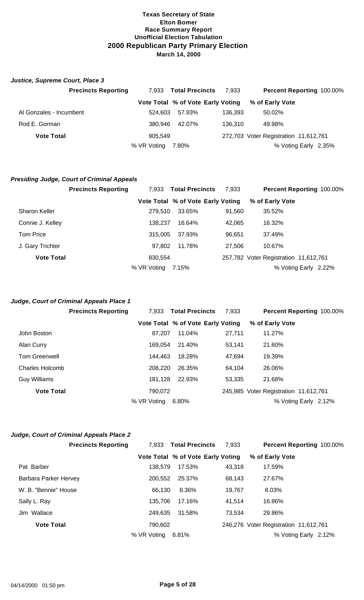## *Justice, Supreme Court, Place 3*

|                         | <b>Precincts Reporting</b> | 7.933       | <b>Total Precincts</b>            | 7.933   | <b>Percent Reporting 100.00%</b>      |
|-------------------------|----------------------------|-------------|-----------------------------------|---------|---------------------------------------|
|                         |                            |             | Vote Total % of Vote Early Voting |         | % of Early Vote                       |
| Al Gonzales - Incumbent |                            | 524.603     | 57.93%                            | 136.393 | 50.02%                                |
| Rod E. Gorman           |                            | 380.946     | 42.07%                            | 136.310 | 49.98%                                |
| <b>Vote Total</b>       |                            | 905,549     |                                   |         | 272,703 Voter Registration 11,612,761 |
|                         |                            | % VR Voting | 7.80%                             |         | % Voting Early 2.35%                  |

#### *Presiding Judge, Court of Criminal Appeals*

|                      | <b>Precincts Reporting</b> | 7.933       | <b>Total Precincts</b>            | 7.933  | Percent Reporting 100.00%             |
|----------------------|----------------------------|-------------|-----------------------------------|--------|---------------------------------------|
|                      |                            |             | Vote Total % of Vote Early Voting |        | % of Early Vote                       |
| <b>Sharon Keller</b> |                            | 279.510     | 33.65%                            | 91,560 | 35.52%                                |
| Connie J. Kelley     |                            | 138,237     | 16.64%                            | 42,065 | 16.32%                                |
| Tom Price            |                            | 315,005     | 37.93%                            | 96,651 | 37.49%                                |
| J. Gary Trichter     |                            | 97.802      | 11.78%                            | 27.506 | 10.67%                                |
| <b>Vote Total</b>    |                            | 830,554     |                                   |        | 257,782 Voter Registration 11,612,761 |
|                      |                            | % VR Voting | 7.15%                             |        | % Voting Early 2.22%                  |

### *Judge, Court of Criminal Appeals Place 1*

|                      | <b>Precincts Reporting</b> | 7.933       | <b>Total Precincts</b>            | 7,933  | Percent Reporting 100.00%             |
|----------------------|----------------------------|-------------|-----------------------------------|--------|---------------------------------------|
|                      |                            |             | Vote Total % of Vote Early Voting |        | % of Early Vote                       |
| John Boston          |                            | 87,207      | 11.04%                            | 27,711 | 11.27%                                |
| Alan Curry           |                            | 169.054     | 21.40%                            | 53,141 | 21.60%                                |
| <b>Tom Greenwell</b> |                            | 144.463     | 18.28%                            | 47,694 | 19.39%                                |
| Charles Holcomb      |                            | 208,220     | 26.35%                            | 64,104 | 26.06%                                |
| Guy Williams         |                            | 181.128     | 22.93%                            | 53,335 | 21.68%                                |
| <b>Vote Total</b>    |                            | 790.072     |                                   |        | 245,985 Voter Registration 11,612,761 |
|                      |                            | % VR Voting | 6.80%                             |        | % Voting Early 2.12%                  |

# *Judge, Court of Criminal Appeals Place 2*

|                       | <b>Precincts Reporting</b> | 7,933       | <b>Total Precincts</b>            | 7.933  | Percent Reporting 100.00%             |
|-----------------------|----------------------------|-------------|-----------------------------------|--------|---------------------------------------|
|                       |                            |             | Vote Total % of Vote Early Voting |        | % of Early Vote                       |
| Pat Barber            |                            | 138.579     | 17.53%                            | 43.318 | 17.59%                                |
| Barbara Parker Hervey |                            | 200.552     | 25.37%                            | 68,143 | 27.67%                                |
| W. B. "Bennie" House  |                            | 66.130      | 8.36%                             | 19,767 | 8.03%                                 |
| Sally L. Ray          |                            | 135,706     | 17.16%                            | 41.514 | 16.86%                                |
| Jim Wallace           |                            | 249,635     | 31.58%                            | 73.534 | 29.86%                                |
| <b>Vote Total</b>     |                            | 790.602     |                                   |        | 246,276 Voter Registration 11,612,761 |
|                       |                            | % VR Voting | 6.81%                             |        | % Voting Early 2.12%                  |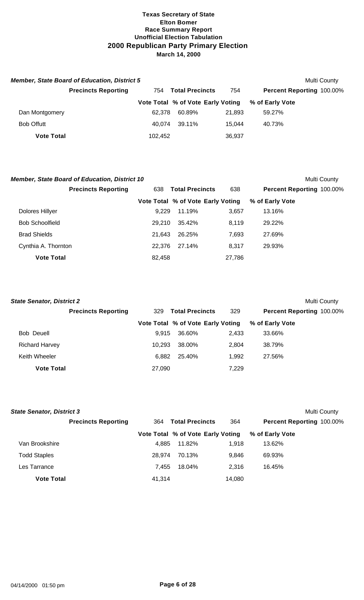|                   | <b>Member, State Board of Education, District 5</b> |                                      |                                   |        |                                  | Multi County |
|-------------------|-----------------------------------------------------|--------------------------------------|-----------------------------------|--------|----------------------------------|--------------|
|                   | <b>Precincts Reporting</b>                          | <b>Total Precincts</b><br>754<br>754 |                                   |        | <b>Percent Reporting 100.00%</b> |              |
|                   |                                                     |                                      | Vote Total % of Vote Early Voting |        | % of Early Vote                  |              |
| Dan Montgomery    |                                                     | 62.378                               | 60.89%                            | 21.893 | 59.27%                           |              |
| <b>Bob Offutt</b> |                                                     | 40.074                               | 39.11%                            | 15.044 | 40.73%                           |              |
| <b>Vote Total</b> |                                                     | 102.452                              |                                   | 36,937 |                                  |              |

| <b>Member, State Board of Education, District 10</b> |        |                                   |        |                           | Multi County |
|------------------------------------------------------|--------|-----------------------------------|--------|---------------------------|--------------|
| <b>Precincts Reporting</b>                           | 638    | <b>Total Precincts</b>            |        | Percent Reporting 100.00% |              |
|                                                      |        | Vote Total % of Vote Early Voting |        | % of Early Vote           |              |
| Dolores Hillyer                                      | 9.229  | 11.19%                            | 3,657  | 13.16%                    |              |
| <b>Bob Schoolfield</b>                               | 29.210 | 35.42%                            | 8.119  | 29.22%                    |              |
| <b>Brad Shields</b>                                  | 21.643 | 26.25%                            | 7,693  | 27.69%                    |              |
| Cynthia A. Thornton                                  | 22.376 | 27.14%                            | 8.317  | 29.93%                    |              |
| <b>Vote Total</b>                                    | 82,458 |                                   | 27,786 |                           |              |

| <b>State Senator, District 2</b> |                            |        |                                   |       |                           | Multi County |
|----------------------------------|----------------------------|--------|-----------------------------------|-------|---------------------------|--------------|
|                                  | <b>Precincts Reporting</b> | 329    | <b>Total Precincts</b>            | 329   | Percent Reporting 100.00% |              |
|                                  |                            |        | Vote Total % of Vote Early Voting |       | % of Early Vote           |              |
| Bob Deuell                       |                            | 9.915  | 36.60%                            | 2.433 | 33.66%                    |              |
| <b>Richard Harvey</b>            |                            | 10.293 | 38.00%                            | 2.804 | 38.79%                    |              |
| Keith Wheeler                    |                            | 6.882  | 25.40%                            | 1,992 | 27.56%                    |              |
| <b>Vote Total</b>                |                            | 27,090 |                                   | 7,229 |                           |              |

| <b>State Senator, District 3</b> |                            |        |                                   |        |                                  | Multi County |
|----------------------------------|----------------------------|--------|-----------------------------------|--------|----------------------------------|--------------|
|                                  | <b>Precincts Reporting</b> | 364    | <b>Total Precincts</b>            | 364    | <b>Percent Reporting 100.00%</b> |              |
|                                  |                            |        | Vote Total % of Vote Early Voting |        | % of Early Vote                  |              |
| Van Brookshire                   |                            | 4.885  | 11.82%                            | 1.918  | 13.62%                           |              |
| <b>Todd Staples</b>              |                            | 28.974 | 70.13%                            | 9.846  | 69.93%                           |              |
| Les Tarrance                     |                            | 7.455  | 18.04%                            | 2.316  | 16.45%                           |              |
| <b>Vote Total</b>                |                            | 41.314 |                                   | 14,080 |                                  |              |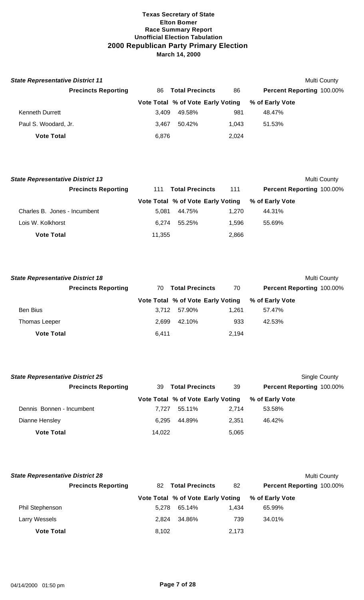| <b>State Representative District 11</b> |       |                                   |       |                                  | Multi County |
|-----------------------------------------|-------|-----------------------------------|-------|----------------------------------|--------------|
| <b>Precincts Reporting</b>              | 86.   | <b>Total Precincts</b>            | 86    | <b>Percent Reporting 100.00%</b> |              |
|                                         |       | Vote Total % of Vote Early Voting |       | % of Early Vote                  |              |
| <b>Kenneth Durrett</b>                  | 3.409 | 49.58%                            | 981   | 48.47%                           |              |
| Paul S. Woodard, Jr.                    | 3.467 | 50.42%                            | 1.043 | 51.53%                           |              |
| <b>Vote Total</b>                       | 6.876 |                                   | 2.024 |                                  |              |

| <b>State Representative District 13</b> |        |                                   |       | Multi County                     |
|-----------------------------------------|--------|-----------------------------------|-------|----------------------------------|
| <b>Precincts Reporting</b>              | 111    | <b>Total Precincts</b>            | 111   | <b>Percent Reporting 100.00%</b> |
|                                         |        | Vote Total % of Vote Early Voting |       | % of Early Vote                  |
| Charles B. Jones - Incumbent            | 5.081  | 44.75%                            | 1.270 | 44.31%                           |
| Lois W. Kolkhorst                       | 6.274  | 55.25%                            | 1.596 | 55.69%                           |
| <b>Vote Total</b>                       | 11,355 |                                   | 2,866 |                                  |

| <b>State Representative District 18</b> |                            |       |                                   |       |                                  | Multi County |
|-----------------------------------------|----------------------------|-------|-----------------------------------|-------|----------------------------------|--------------|
|                                         | <b>Precincts Reporting</b> | 70    | <b>Total Precincts</b>            | 70    | <b>Percent Reporting 100.00%</b> |              |
|                                         |                            |       | Vote Total % of Vote Early Voting |       | % of Early Vote                  |              |
| <b>Ben Bius</b>                         |                            | 3.712 | 57.90%                            | 1.261 | 57.47%                           |              |
| Thomas Leeper                           |                            | 2.699 | 42.10%                            | 933   | 42.53%                           |              |
| <b>Vote Total</b>                       |                            | 6,411 |                                   | 2,194 |                                  |              |

| <b>State Representative District 25</b> |        |                                   |       | Single County             |
|-----------------------------------------|--------|-----------------------------------|-------|---------------------------|
| <b>Precincts Reporting</b>              | 39     | <b>Total Precincts</b>            | 39    | Percent Reporting 100.00% |
|                                         |        | Vote Total % of Vote Early Voting |       | % of Early Vote           |
| Dennis Bonnen - Incumbent               | 7.727  | 55.11%                            | 2.714 | 53.58%                    |
| Dianne Hensley                          | 6.295  | 44.89%                            | 2.351 | 46.42%                    |
| <b>Vote Total</b>                       | 14,022 |                                   | 5,065 |                           |

| <b>State Representative District 28</b> |                            |       |                                   |       |                 | Multi County                     |
|-----------------------------------------|----------------------------|-------|-----------------------------------|-------|-----------------|----------------------------------|
|                                         | <b>Precincts Reporting</b> | 82    | <b>Total Precincts</b>            | 82    |                 | <b>Percent Reporting 100.00%</b> |
|                                         |                            |       | Vote Total % of Vote Early Voting |       | % of Early Vote |                                  |
| <b>Phil Stephenson</b>                  |                            | 5.278 | 65.14%                            | 1.434 | 65.99%          |                                  |
| Larry Wessels                           |                            | 2.824 | 34.86%                            | 739   | 34.01%          |                                  |
| <b>Vote Total</b>                       |                            | 8,102 |                                   | 2.173 |                 |                                  |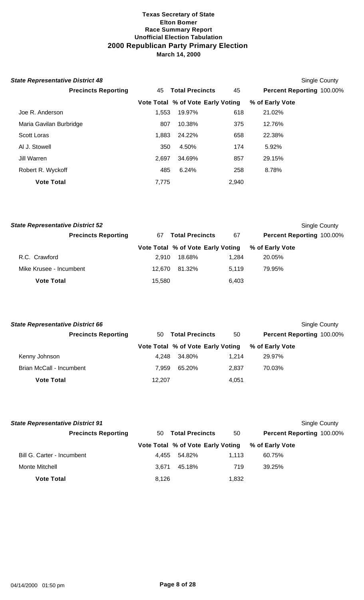| <b>State Representative District 48</b> |       |                                   |       |                           | Single County |
|-----------------------------------------|-------|-----------------------------------|-------|---------------------------|---------------|
| <b>Precincts Reporting</b>              | 45    | <b>Total Precincts</b>            | 45    | Percent Reporting 100.00% |               |
|                                         |       | Vote Total % of Vote Early Voting |       | % of Early Vote           |               |
| Joe R. Anderson                         | 1,553 | 19.97%                            | 618   | 21.02%                    |               |
| Maria Gavilan Burbridge                 | 807   | 10.38%                            | 375   | 12.76%                    |               |
| <b>Scott Loras</b>                      | 1,883 | 24.22%                            | 658   | 22.38%                    |               |
| AI J. Stowell                           | 350   | 4.50%                             | 174   | 5.92%                     |               |
| Jill Warren                             | 2.697 | 34.69%                            | 857   | 29.15%                    |               |
| Robert R. Wyckoff                       | 485   | 6.24%                             | 258   | 8.78%                     |               |
| <b>Vote Total</b>                       | 7,775 |                                   | 2,940 |                           |               |

| <b>State Representative District 52</b> |        |                                   |       | Single County             |
|-----------------------------------------|--------|-----------------------------------|-------|---------------------------|
| <b>Precincts Reporting</b>              | 67     | <b>Total Precincts</b>            | 67    | Percent Reporting 100.00% |
|                                         |        | Vote Total % of Vote Early Voting |       | % of Early Vote           |
| R.C. Crawford                           | 2.910  | 18.68%                            | 1.284 | 20.05%                    |
| Mike Krusee - Incumbent                 | 12.670 | 81.32%                            | 5.119 | 79.95%                    |
| <b>Vote Total</b>                       | 15,580 |                                   | 6,403 |                           |

|                              |        |                          | Single County                     |
|------------------------------|--------|--------------------------|-----------------------------------|
| <b>Total Precincts</b><br>50 |        | 50                       | <b>Percent Reporting 100.00%</b>  |
|                              |        |                          | % of Early Vote                   |
|                              | 34.80% | 1.214                    | 29.97%                            |
|                              | 65.20% | 2.837                    | 70.03%                            |
|                              |        | 4,051                    |                                   |
|                              |        | 4.248<br>7.959<br>12,207 | Vote Total % of Vote Early Voting |

| <b>State Representative District 91</b> |       |                        |       | Single County                                     |  |
|-----------------------------------------|-------|------------------------|-------|---------------------------------------------------|--|
| <b>Precincts Reporting</b>              | 50    | <b>Total Precincts</b> | 50    | <b>Percent Reporting 100.00%</b>                  |  |
|                                         |       |                        |       | Vote Total % of Vote Early Voting % of Early Vote |  |
| Bill G. Carter - Incumbent              | 4.455 | 54.82%                 | 1.113 | 60.75%                                            |  |
| Monte Mitchell                          | 3.671 | 45.18%                 | 719   | 39.25%                                            |  |
| <b>Vote Total</b>                       | 8,126 |                        | 1,832 |                                                   |  |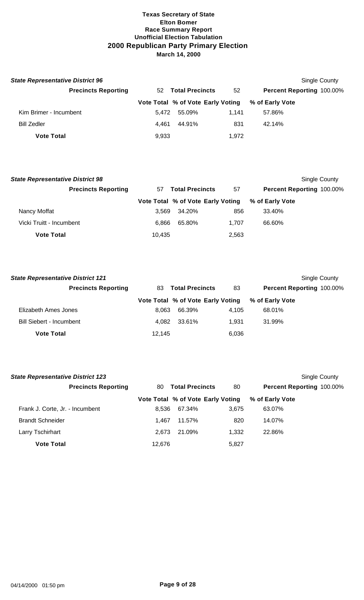| <b>State Representative District 96</b> |       |                                   |       |                                  | Single County |
|-----------------------------------------|-------|-----------------------------------|-------|----------------------------------|---------------|
| <b>Precincts Reporting</b>              |       | 52 Total Precincts                | 52    | <b>Percent Reporting 100.00%</b> |               |
|                                         |       | Vote Total % of Vote Early Voting |       | % of Early Vote                  |               |
| Kim Brimer - Incumbent                  | 5.472 | 55.09%                            | 1.141 | 57.86%                           |               |
| <b>Bill Zedler</b>                      | 4.461 | 44.91%                            | 831   | 42.14%                           |               |
| <b>Vote Total</b>                       | 9,933 |                                   | 1,972 |                                  |               |

| <b>State Representative District 98</b> |        |                                   |       | Single County             |
|-----------------------------------------|--------|-----------------------------------|-------|---------------------------|
| <b>Precincts Reporting</b>              | 57     | <b>Total Precincts</b>            | 57    | Percent Reporting 100.00% |
|                                         |        | Vote Total % of Vote Early Voting |       | % of Early Vote           |
| Nancy Moffat                            | 3.569  | 34.20%                            | 856   | 33.40%                    |
| Vicki Truitt - Incumbent                | 6.866  | 65.80%                            | 1.707 | 66.60%                    |
| <b>Vote Total</b>                       | 10,435 |                                   | 2,563 |                           |

| <b>State Representative District 121</b> |        |                                   |       | Single County                    |
|------------------------------------------|--------|-----------------------------------|-------|----------------------------------|
| <b>Precincts Reporting</b>               | 83.    | <b>Total Precincts</b>            | 83    | <b>Percent Reporting 100.00%</b> |
|                                          |        | Vote Total % of Vote Early Voting |       | % of Early Vote                  |
| Elizabeth Ames Jones                     | 8.063  | 66.39%                            | 4.105 | 68.01%                           |
| <b>Bill Siebert - Incumbent</b>          | 4.082  | 33.61%                            | 1.931 | 31.99%                           |
| <b>Vote Total</b>                        | 12,145 |                                   | 6,036 |                                  |

| <b>State Representative District 123</b> |        |                                   |       |                           | Single County |
|------------------------------------------|--------|-----------------------------------|-------|---------------------------|---------------|
| <b>Precincts Reporting</b>               | 80     | <b>Total Precincts</b>            | 80    | Percent Reporting 100.00% |               |
|                                          |        | Vote Total % of Vote Early Voting |       | % of Early Vote           |               |
| Frank J. Corte, Jr. - Incumbent          | 8.536  | 67.34%                            | 3.675 | 63.07%                    |               |
| <b>Brandt Schneider</b>                  | 1.467  | 11.57%                            | 820   | 14.07%                    |               |
| Larry Tschirhart                         | 2.673  | 21.09%                            | 1.332 | 22.86%                    |               |
| <b>Vote Total</b>                        | 12.676 |                                   | 5,827 |                           |               |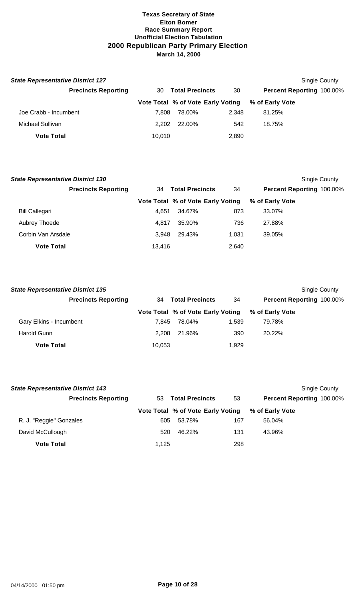| <b>State Representative District 127</b> |        |                                   |       | Single County             |  |
|------------------------------------------|--------|-----------------------------------|-------|---------------------------|--|
| <b>Precincts Reporting</b>               | 30     | <b>Total Precincts</b>            | 30    | Percent Reporting 100.00% |  |
|                                          |        | Vote Total % of Vote Early Voting |       | % of Early Vote           |  |
| Joe Crabb - Incumbent                    | 7.808  | 78.00%                            | 2.348 | 81.25%                    |  |
| Michael Sullivan                         | 2.202  | 22.00%                            | 542   | 18.75%                    |  |
| <b>Vote Total</b>                        | 10.010 |                                   | 2,890 |                           |  |

| <b>State Representative District 130</b> |        |                                   |       |                           | Single County |
|------------------------------------------|--------|-----------------------------------|-------|---------------------------|---------------|
| <b>Precincts Reporting</b>               | 34     | <b>Total Precincts</b>            | 34    | Percent Reporting 100.00% |               |
|                                          |        | Vote Total % of Vote Early Voting |       | % of Early Vote           |               |
| <b>Bill Callegari</b>                    | 4.651  | 34.67%                            | 873   | 33.07%                    |               |
| Aubrey Thoede                            | 4.817  | 35.90%                            | 736   | 27.88%                    |               |
| Corbin Van Arsdale                       | 3.948  | 29.43%                            | 1.031 | 39.05%                    |               |
| <b>Vote Total</b>                        | 13.416 |                                   | 2,640 |                           |               |

| <b>State Representative District 135</b> |                              |                                   |       | Single County             |
|------------------------------------------|------------------------------|-----------------------------------|-------|---------------------------|
| <b>Precincts Reporting</b>               | <b>Total Precincts</b><br>34 |                                   | 34    | Percent Reporting 100.00% |
|                                          |                              | Vote Total % of Vote Early Voting |       | % of Early Vote           |
| Gary Elkins - Incumbent                  | 7.845                        | 78.04%                            | 1.539 | 79.78%                    |
| Harold Gunn                              | 2.208                        | 21.96%                            | 390   | 20.22%                    |
| <b>Vote Total</b>                        | 10,053                       |                                   | 1,929 |                           |

| <b>State Representative District 143</b> |       |                                   |     |                                  | Single County |
|------------------------------------------|-------|-----------------------------------|-----|----------------------------------|---------------|
| <b>Precincts Reporting</b>               | 53.   | <b>Total Precincts</b>            | 53  | <b>Percent Reporting 100.00%</b> |               |
|                                          |       | Vote Total % of Vote Early Voting |     | % of Early Vote                  |               |
| R. J. "Reggie" Gonzales                  | 605   | 53.78%                            | 167 | 56.04%                           |               |
| David McCullough                         | 520   | 46.22%                            | 131 | 43.96%                           |               |
| <b>Vote Total</b>                        | 1.125 |                                   | 298 |                                  |               |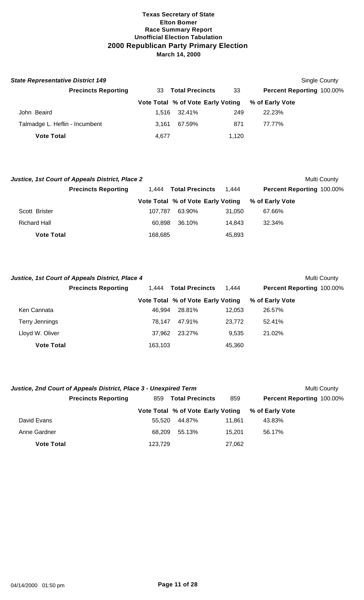| <b>State Representative District 149</b> |       |                                   |       |                           | Single County |
|------------------------------------------|-------|-----------------------------------|-------|---------------------------|---------------|
| <b>Precincts Reporting</b>               | 33    | <b>Total Precincts</b>            | 33    | Percent Reporting 100.00% |               |
|                                          |       | Vote Total % of Vote Early Voting |       | % of Early Vote           |               |
| John Beaird                              | 1.516 | 32.41%                            | 249   | 22.23%                    |               |
| Talmadge L. Heflin - Incumbent           | 3.161 | 67.59%                            | 871   | 77.77%                    |               |
| <b>Vote Total</b>                        | 4.677 |                                   | 1.120 |                           |               |

|                            | Justice, 1st Court of Appeals District, Place 2 |                                 |                                   |        |                                  | Multi County |
|----------------------------|-------------------------------------------------|---------------------------------|-----------------------------------|--------|----------------------------------|--------------|
| <b>Precincts Reporting</b> |                                                 | <b>Total Precincts</b><br>1.444 |                                   | 1.444  | <b>Percent Reporting 100.00%</b> |              |
|                            |                                                 |                                 | Vote Total % of Vote Early Voting |        | % of Early Vote                  |              |
| Scott Brister              |                                                 | 107.787                         | 63.90%                            | 31.050 | 67.66%                           |              |
| <b>Richard Hall</b>        |                                                 | 60.898                          | 36.10%                            | 14.843 | 32.34%                           |              |
| <b>Vote Total</b>          |                                                 | 168,685                         |                                   | 45,893 |                                  |              |

|                   | Justice, 1st Court of Appeals District, Place 4 |         |                                          |        |                                  | Multi County |
|-------------------|-------------------------------------------------|---------|------------------------------------------|--------|----------------------------------|--------------|
|                   | <b>Precincts Reporting</b>                      |         | <b>Total Precincts</b><br>1.444<br>1.444 |        | <b>Percent Reporting 100.00%</b> |              |
|                   |                                                 |         | Vote Total % of Vote Early Voting        |        | % of Early Vote                  |              |
| Ken Cannata       |                                                 | 46.994  | 28.81%                                   | 12.053 | 26.57%                           |              |
| Terry Jennings    |                                                 | 78.147  | 47.91%                                   | 23,772 | 52.41%                           |              |
| Lloyd W. Oliver   |                                                 | 37.962  | 23.27%                                   | 9.535  | 21.02%                           |              |
| <b>Vote Total</b> |                                                 | 163,103 |                                          | 45,360 |                                  |              |

| Justice, 2nd Court of Appeals District, Place 3 - Unexpired Term |                            |                               |                                   |        |                                  | Multi County |
|------------------------------------------------------------------|----------------------------|-------------------------------|-----------------------------------|--------|----------------------------------|--------------|
|                                                                  | <b>Precincts Reporting</b> | <b>Total Precincts</b><br>859 |                                   | 859    | <b>Percent Reporting 100.00%</b> |              |
|                                                                  |                            |                               | Vote Total % of Vote Early Voting |        | % of Early Vote                  |              |
| David Evans                                                      |                            | 55.520                        | 44.87%                            | 11.861 | 43.83%                           |              |
| Anne Gardner                                                     |                            | 68.209                        | 55.13%                            | 15.201 | 56.17%                           |              |
| <b>Vote Total</b>                                                |                            | 123.729                       |                                   | 27,062 |                                  |              |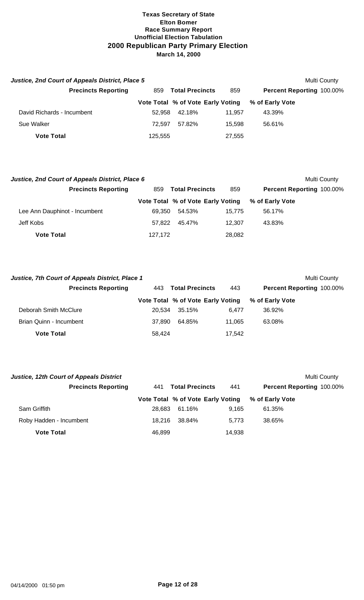| <b>Justice, 2nd Court of Appeals District, Place 5</b> |         |                                   |        | Multi County                     |  |
|--------------------------------------------------------|---------|-----------------------------------|--------|----------------------------------|--|
| <b>Precincts Reporting</b>                             | 859     | <b>Total Precincts</b>            | 859    | <b>Percent Reporting 100.00%</b> |  |
|                                                        |         | Vote Total % of Vote Early Voting |        | % of Early Vote                  |  |
| David Richards - Incumbent                             | 52.958  | 42.18%                            | 11.957 | 43.39%                           |  |
| Sue Walker                                             | 72.597  | 57.82%                            | 15.598 | 56.61%                           |  |
| <b>Vote Total</b>                                      | 125,555 |                                   | 27,555 |                                  |  |

| Justice, 2nd Court of Appeals District, Place 6 |                               |                                   |        | Multi County              |  |
|-------------------------------------------------|-------------------------------|-----------------------------------|--------|---------------------------|--|
| <b>Precincts Reporting</b>                      | <b>Total Precincts</b><br>859 |                                   | 859    | Percent Reporting 100.00% |  |
|                                                 |                               | Vote Total % of Vote Early Voting |        | % of Early Vote           |  |
| Lee Ann Dauphinot - Incumbent                   | 69.350                        | 54.53%                            | 15.775 | 56.17%                    |  |
| Jeff Kobs                                       | 57.822                        | 45.47%                            | 12.307 | 43.83%                    |  |
| <b>Vote Total</b>                               | 127,172                       |                                   | 28,082 |                           |  |

| Justice, 7th Court of Appeals District, Place 1 |                               |                                   |        | Multi County                     |  |
|-------------------------------------------------|-------------------------------|-----------------------------------|--------|----------------------------------|--|
| <b>Precincts Reporting</b>                      | <b>Total Precincts</b><br>443 |                                   | 443    | <b>Percent Reporting 100.00%</b> |  |
|                                                 |                               | Vote Total % of Vote Early Voting |        | % of Early Vote                  |  |
| Deborah Smith McClure                           | 20.534                        | 35.15%                            | 6.477  | 36.92%                           |  |
| Brian Quinn - Incumbent                         | 37.890                        | 64.85%                            | 11.065 | 63.08%                           |  |
| <b>Vote Total</b>                               | 58.424                        |                                   | 17,542 |                                  |  |

| <b>Justice, 12th Court of Appeals District</b> |                               |                                   |        | Multi County                     |
|------------------------------------------------|-------------------------------|-----------------------------------|--------|----------------------------------|
| <b>Precincts Reporting</b>                     | <b>Total Precincts</b><br>441 |                                   | 441    | <b>Percent Reporting 100.00%</b> |
|                                                |                               | Vote Total % of Vote Early Voting |        | % of Early Vote                  |
| Sam Griffith                                   | 28.683                        | 61.16%                            | 9.165  | 61.35%                           |
| Roby Hadden - Incumbent                        | 18.216                        | 38.84%                            | 5,773  | 38.65%                           |
| <b>Vote Total</b>                              | 46,899                        |                                   | 14,938 |                                  |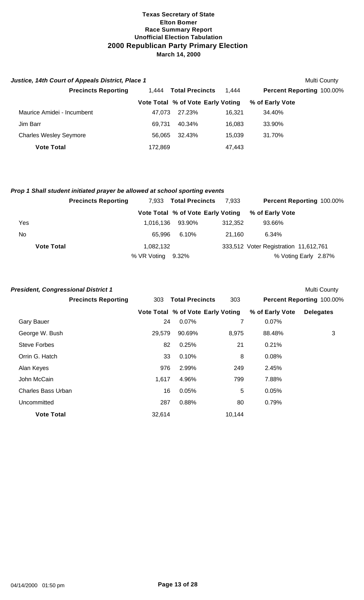| Justice, 14th Court of Appeals District, Place 1 |         |                                   |        |                                  | Multi County |
|--------------------------------------------------|---------|-----------------------------------|--------|----------------------------------|--------------|
| <b>Precincts Reporting</b>                       | 1.444   | <b>Total Precincts</b>            | 1.444  | <b>Percent Reporting 100.00%</b> |              |
|                                                  |         | Vote Total % of Vote Early Voting |        | % of Early Vote                  |              |
| Maurice Amidei - Incumbent                       | 47.073  | 27.23%                            | 16.321 | 34.40%                           |              |
| Jim Barr                                         | 69.731  | 40.34%                            | 16.083 | 33.90%                           |              |
| <b>Charles Wesley Seymore</b>                    | 56.065  | 32.43%                            | 15.039 | 31.70%                           |              |
| <b>Vote Total</b>                                | 172,869 |                                   | 47,443 |                                  |              |

# *Prop 1 Shall student initiated prayer be allowed at school sporting events*

|                   | <b>Precincts Reporting</b> | 7.933             | <b>Total Precincts</b>            | 7,933   | <b>Percent Reporting 100.00%</b>      |  |
|-------------------|----------------------------|-------------------|-----------------------------------|---------|---------------------------------------|--|
|                   |                            |                   | Vote Total % of Vote Early Voting |         | % of Early Vote                       |  |
| Yes               |                            | 1.016.136         | 93.90%                            | 312.352 | 93.66%                                |  |
| No.               |                            | 65.996            | 6.10%                             | 21.160  | 6.34%                                 |  |
| <b>Vote Total</b> |                            | 1,082,132         |                                   |         | 333,512 Voter Registration 11,612,761 |  |
|                   |                            | % VR Voting 9.32% |                                   |         | % Voting Early 2.87%                  |  |

| <b>President, Congressional District 1</b> |        |                                   |        |                 | Multi County              |
|--------------------------------------------|--------|-----------------------------------|--------|-----------------|---------------------------|
| <b>Precincts Reporting</b>                 | 303    | <b>Total Precincts</b>            | 303    |                 | Percent Reporting 100.00% |
|                                            |        | Vote Total % of Vote Early Voting |        | % of Early Vote | <b>Delegates</b>          |
| <b>Gary Bauer</b>                          | 24     | 0.07%                             | 7      | $0.07\%$        |                           |
| George W. Bush                             | 29,579 | 90.69%                            | 8,975  | 88.48%          | 3                         |
| <b>Steve Forbes</b>                        | 82     | 0.25%                             | 21     | 0.21%           |                           |
| Orrin G. Hatch                             | 33     | 0.10%                             | 8      | 0.08%           |                           |
| Alan Keyes                                 | 976    | 2.99%                             | 249    | 2.45%           |                           |
| John McCain                                | 1,617  | 4.96%                             | 799    | 7.88%           |                           |
| <b>Charles Bass Urban</b>                  | 16     | 0.05%                             | 5      | 0.05%           |                           |
| Uncommitted                                | 287    | 0.88%                             | 80     | 0.79%           |                           |
| <b>Vote Total</b>                          | 32,614 |                                   | 10,144 |                 |                           |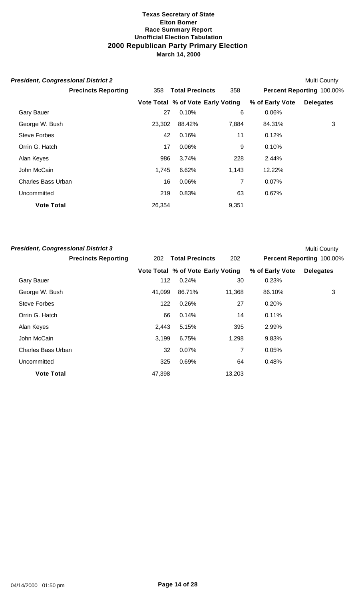| <b>President, Congressional District 2</b> |        |                                   |       |                 | Multi County              |
|--------------------------------------------|--------|-----------------------------------|-------|-----------------|---------------------------|
| <b>Precincts Reporting</b>                 | 358    | <b>Total Precincts</b>            | 358   |                 | Percent Reporting 100.00% |
|                                            |        | Vote Total % of Vote Early Voting |       | % of Early Vote | <b>Delegates</b>          |
| <b>Gary Bauer</b>                          | 27     | 0.10%                             | 6     | 0.06%           |                           |
| George W. Bush                             | 23,302 | 88.42%                            | 7,884 | 84.31%          | 3                         |
| <b>Steve Forbes</b>                        | 42     | 0.16%                             | 11    | 0.12%           |                           |
| Orrin G. Hatch                             | 17     | 0.06%                             | 9     | 0.10%           |                           |
| Alan Keyes                                 | 986    | 3.74%                             | 228   | 2.44%           |                           |
| John McCain                                | 1,745  | 6.62%                             | 1,143 | 12.22%          |                           |
| <b>Charles Bass Urban</b>                  | 16     | 0.06%                             | 7     | $0.07\%$        |                           |
| Uncommitted                                | 219    | 0.83%                             | 63    | 0.67%           |                           |
| <b>Vote Total</b>                          | 26,354 |                                   | 9,351 |                 |                           |

| <b>President, Congressional District 3</b> |            |                                   |        |                 | <b>Multi County</b>       |
|--------------------------------------------|------------|-----------------------------------|--------|-----------------|---------------------------|
| <b>Precincts Reporting</b>                 | <b>202</b> | <b>Total Precincts</b>            | 202    |                 | Percent Reporting 100.00% |
|                                            |            | Vote Total % of Vote Early Voting |        | % of Early Vote | <b>Delegates</b>          |
| <b>Gary Bauer</b>                          | 112        | 0.24%                             | 30     | 0.23%           |                           |
| George W. Bush                             | 41,099     | 86.71%                            | 11,368 | 86.10%          | 3                         |
| <b>Steve Forbes</b>                        | 122        | 0.26%                             | 27     | 0.20%           |                           |
| Orrin G. Hatch                             | 66         | 0.14%                             | 14     | 0.11%           |                           |
| Alan Keyes                                 | 2,443      | 5.15%                             | 395    | 2.99%           |                           |
| John McCain                                | 3,199      | 6.75%                             | 1,298  | 9.83%           |                           |
| <b>Charles Bass Urban</b>                  | 32         | 0.07%                             | 7      | 0.05%           |                           |
| Uncommitted                                | 325        | 0.69%                             | 64     | 0.48%           |                           |
| <b>Vote Total</b>                          | 47,398     |                                   | 13,203 |                 |                           |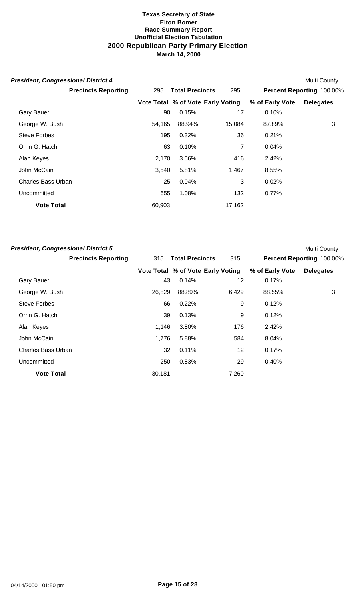| <b>President, Congressional District 4</b> |        |                                   |        |                 | Multi County              |
|--------------------------------------------|--------|-----------------------------------|--------|-----------------|---------------------------|
| <b>Precincts Reporting</b>                 | 295    | <b>Total Precincts</b>            | 295    |                 | Percent Reporting 100.00% |
|                                            |        | Vote Total % of Vote Early Voting |        | % of Early Vote | <b>Delegates</b>          |
| <b>Gary Bauer</b>                          | 90     | 0.15%                             | 17     | 0.10%           |                           |
| George W. Bush                             | 54,165 | 88.94%                            | 15,084 | 87.89%          | 3                         |
| Steve Forbes                               | 195    | 0.32%                             | 36     | 0.21%           |                           |
| Orrin G. Hatch                             | 63     | 0.10%                             | 7      | 0.04%           |                           |
| Alan Keyes                                 | 2,170  | 3.56%                             | 416    | 2.42%           |                           |
| John McCain                                | 3,540  | 5.81%                             | 1,467  | 8.55%           |                           |
| <b>Charles Bass Urban</b>                  | 25     | 0.04%                             | 3      | 0.02%           |                           |
| Uncommitted                                | 655    | 1.08%                             | 132    | 0.77%           |                           |
| <b>Vote Total</b>                          | 60,903 |                                   | 17,162 |                 |                           |

| <b>President, Congressional District 5</b> |        |                                   |       |                 | <b>Multi County</b>       |
|--------------------------------------------|--------|-----------------------------------|-------|-----------------|---------------------------|
| <b>Precincts Reporting</b>                 | 315    | <b>Total Precincts</b>            | 315   |                 | Percent Reporting 100.00% |
|                                            |        | Vote Total % of Vote Early Voting |       | % of Early Vote | <b>Delegates</b>          |
| <b>Gary Bauer</b>                          | 43     | 0.14%                             | 12    | 0.17%           |                           |
| George W. Bush                             | 26,829 | 88.89%                            | 6,429 | 88.55%          | 3                         |
| <b>Steve Forbes</b>                        | 66     | 0.22%                             | 9     | 0.12%           |                           |
| Orrin G. Hatch                             | 39     | 0.13%                             | 9     | 0.12%           |                           |
| Alan Keyes                                 | 1,146  | 3.80%                             | 176   | 2.42%           |                           |
| John McCain                                | 1,776  | 5.88%                             | 584   | 8.04%           |                           |
| <b>Charles Bass Urban</b>                  | 32     | 0.11%                             | 12    | 0.17%           |                           |
| Uncommitted                                | 250    | 0.83%                             | 29    | 0.40%           |                           |
| <b>Vote Total</b>                          | 30,181 |                                   | 7,260 |                 |                           |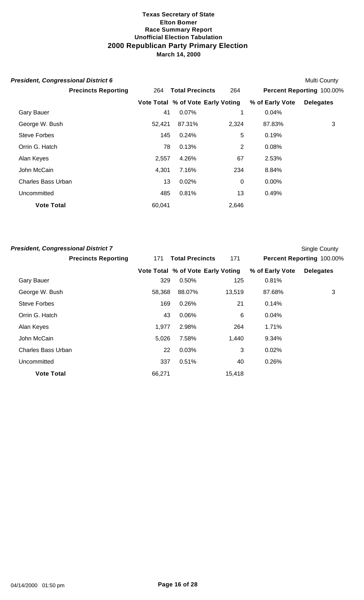| <b>President, Congressional District 6</b> |        |                                   |       |                 | Multi County              |
|--------------------------------------------|--------|-----------------------------------|-------|-----------------|---------------------------|
| <b>Precincts Reporting</b>                 | 264    | <b>Total Precincts</b>            | 264   |                 | Percent Reporting 100.00% |
|                                            |        | Vote Total % of Vote Early Voting |       | % of Early Vote | <b>Delegates</b>          |
| <b>Gary Bauer</b>                          | 41     | 0.07%                             | 1     | 0.04%           |                           |
| George W. Bush                             | 52,421 | 87.31%                            | 2,324 | 87.83%          | 3                         |
| <b>Steve Forbes</b>                        | 145    | 0.24%                             | 5     | 0.19%           |                           |
| Orrin G. Hatch                             | 78     | 0.13%                             | 2     | 0.08%           |                           |
| Alan Keyes                                 | 2,557  | 4.26%                             | 67    | 2.53%           |                           |
| John McCain                                | 4,301  | 7.16%                             | 234   | 8.84%           |                           |
| <b>Charles Bass Urban</b>                  | 13     | 0.02%                             | 0     | $0.00\%$        |                           |
| Uncommitted                                | 485    | 0.81%                             | 13    | 0.49%           |                           |
| <b>Vote Total</b>                          | 60,041 |                                   | 2,646 |                 |                           |

| <b>President, Congressional District 7</b> |        |                                   |        |                 | <b>Single County</b>      |
|--------------------------------------------|--------|-----------------------------------|--------|-----------------|---------------------------|
| <b>Precincts Reporting</b>                 | 171    | <b>Total Precincts</b>            | 171    |                 | Percent Reporting 100.00% |
|                                            |        | Vote Total % of Vote Early Voting |        | % of Early Vote | <b>Delegates</b>          |
| <b>Gary Bauer</b>                          | 329    | 0.50%                             | 125    | 0.81%           |                           |
| George W. Bush                             | 58,368 | 88.07%                            | 13,519 | 87.68%          | 3                         |
| <b>Steve Forbes</b>                        | 169    | 0.26%                             | 21     | 0.14%           |                           |
| Orrin G. Hatch                             | 43     | 0.06%                             | 6      | 0.04%           |                           |
| Alan Keyes                                 | 1,977  | 2.98%                             | 264    | 1.71%           |                           |
| John McCain                                | 5,026  | 7.58%                             | 1,440  | 9.34%           |                           |
| <b>Charles Bass Urban</b>                  | 22     | 0.03%                             | 3      | 0.02%           |                           |
| Uncommitted                                | 337    | 0.51%                             | 40     | 0.26%           |                           |
| <b>Vote Total</b>                          | 66,271 |                                   | 15,418 |                 |                           |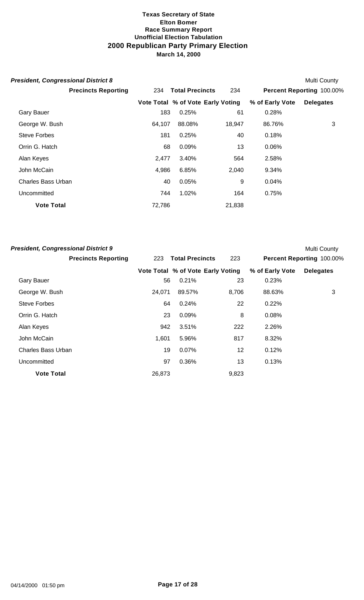| <b>President, Congressional District 8</b> |        |                                   |        |                 | Multi County              |
|--------------------------------------------|--------|-----------------------------------|--------|-----------------|---------------------------|
| <b>Precincts Reporting</b>                 | 234    | <b>Total Precincts</b>            | 234    |                 | Percent Reporting 100.00% |
|                                            |        | Vote Total % of Vote Early Voting |        | % of Early Vote | <b>Delegates</b>          |
| <b>Gary Bauer</b>                          | 183    | 0.25%                             | 61     | 0.28%           |                           |
| George W. Bush                             | 64,107 | 88.08%                            | 18,947 | 86.76%          | 3                         |
| Steve Forbes                               | 181    | 0.25%                             | 40     | 0.18%           |                           |
| Orrin G. Hatch                             | 68     | 0.09%                             | 13     | 0.06%           |                           |
| Alan Keyes                                 | 2,477  | 3.40%                             | 564    | 2.58%           |                           |
| John McCain                                | 4,986  | 6.85%                             | 2,040  | 9.34%           |                           |
| <b>Charles Bass Urban</b>                  | 40     | 0.05%                             | 9      | 0.04%           |                           |
| Uncommitted                                | 744    | 1.02%                             | 164    | 0.75%           |                           |
| <b>Vote Total</b>                          | 72,786 |                                   | 21,838 |                 |                           |

| <b>President, Congressional District 9</b> |        |                                   |       |                 | <b>Multi County</b>       |
|--------------------------------------------|--------|-----------------------------------|-------|-----------------|---------------------------|
| <b>Precincts Reporting</b>                 | 223    | <b>Total Precincts</b>            | 223   |                 | Percent Reporting 100.00% |
|                                            |        | Vote Total % of Vote Early Voting |       | % of Early Vote | <b>Delegates</b>          |
| <b>Gary Bauer</b>                          | 56     | 0.21%                             | 23    | 0.23%           |                           |
| George W. Bush                             | 24,071 | 89.57%                            | 8,706 | 88.63%          | 3                         |
| Steve Forbes                               | 64     | 0.24%                             | 22    | 0.22%           |                           |
| Orrin G. Hatch                             | 23     | 0.09%                             | 8     | 0.08%           |                           |
| Alan Keyes                                 | 942    | 3.51%                             | 222   | 2.26%           |                           |
| John McCain                                | 1.601  | 5.96%                             | 817   | 8.32%           |                           |
| <b>Charles Bass Urban</b>                  | 19     | 0.07%                             | 12    | 0.12%           |                           |
| Uncommitted                                | 97     | 0.36%                             | 13    | 0.13%           |                           |
| <b>Vote Total</b>                          | 26,873 |                                   | 9,823 |                 |                           |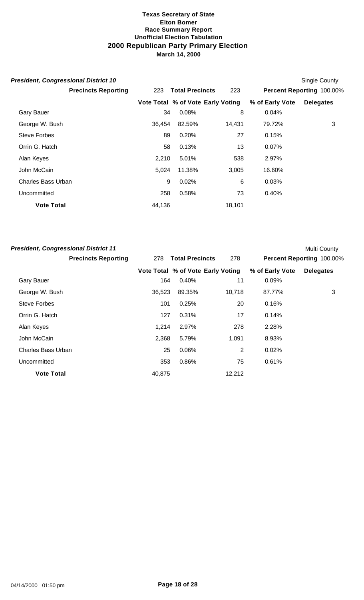| <b>President, Congressional District 10</b> |        |                                   |        |                 | Single County             |
|---------------------------------------------|--------|-----------------------------------|--------|-----------------|---------------------------|
| <b>Precincts Reporting</b>                  | 223    | <b>Total Precincts</b>            | 223    |                 | Percent Reporting 100.00% |
|                                             |        | Vote Total % of Vote Early Voting |        | % of Early Vote | <b>Delegates</b>          |
| <b>Gary Bauer</b>                           | 34     | 0.08%                             | 8      | 0.04%           |                           |
| George W. Bush                              | 36,454 | 82.59%                            | 14,431 | 79.72%          | 3                         |
| <b>Steve Forbes</b>                         | 89     | 0.20%                             | 27     | 0.15%           |                           |
| Orrin G. Hatch                              | 58     | 0.13%                             | 13     | 0.07%           |                           |
| Alan Keyes                                  | 2,210  | 5.01%                             | 538    | 2.97%           |                           |
| John McCain                                 | 5,024  | 11.38%                            | 3,005  | 16.60%          |                           |
| <b>Charles Bass Urban</b>                   | 9      | 0.02%                             | 6      | 0.03%           |                           |
| Uncommitted                                 | 258    | 0.58%                             | 73     | 0.40%           |                           |
| <b>Vote Total</b>                           | 44,136 |                                   | 18,101 |                 |                           |

| <b>President, Congressional District 11</b> |        |                                   |                |                 | <b>Multi County</b>       |
|---------------------------------------------|--------|-----------------------------------|----------------|-----------------|---------------------------|
| <b>Precincts Reporting</b>                  | 278    | <b>Total Precincts</b>            | 278            |                 | Percent Reporting 100.00% |
|                                             |        | Vote Total % of Vote Early Voting |                | % of Early Vote | <b>Delegates</b>          |
| <b>Gary Bauer</b>                           | 164    | 0.40%                             | 11             | 0.09%           |                           |
| George W. Bush                              | 36,523 | 89.35%                            | 10,718         | 87.77%          | 3                         |
| Steve Forbes                                | 101    | 0.25%                             | 20             | 0.16%           |                           |
| Orrin G. Hatch                              | 127    | 0.31%                             | 17             | 0.14%           |                           |
| Alan Keyes                                  | 1,214  | 2.97%                             | 278            | 2.28%           |                           |
| John McCain                                 | 2,368  | 5.79%                             | 1,091          | 8.93%           |                           |
| <b>Charles Bass Urban</b>                   | 25     | 0.06%                             | $\overline{2}$ | 0.02%           |                           |
| Uncommitted                                 | 353    | 0.86%                             | 75             | 0.61%           |                           |
| <b>Vote Total</b>                           | 40,875 |                                   | 12,212         |                 |                           |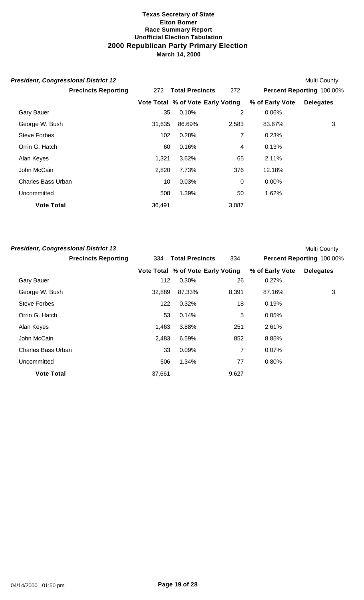| <b>President, Congressional District 12</b> |        |                                   |                |                 | Multi County              |
|---------------------------------------------|--------|-----------------------------------|----------------|-----------------|---------------------------|
| <b>Precincts Reporting</b>                  | 272    | <b>Total Precincts</b>            | 272            |                 | Percent Reporting 100.00% |
|                                             |        | Vote Total % of Vote Early Voting |                | % of Early Vote | <b>Delegates</b>          |
| <b>Gary Bauer</b>                           | 35     | 0.10%                             | 2              | 0.06%           |                           |
| George W. Bush                              | 31,635 | 86.69%                            | 2,583          | 83.67%          | 3                         |
| Steve Forbes                                | 102    | 0.28%                             | 7              | 0.23%           |                           |
| Orrin G. Hatch                              | 60     | 0.16%                             | 4              | 0.13%           |                           |
| Alan Keyes                                  | 1,321  | 3.62%                             | 65             | 2.11%           |                           |
| John McCain                                 | 2,820  | 7.73%                             | 376            | 12.18%          |                           |
| <b>Charles Bass Urban</b>                   | 10     | 0.03%                             | $\overline{0}$ | $0.00\%$        |                           |
| Uncommitted                                 | 508    | 1.39%                             | 50             | 1.62%           |                           |
| <b>Vote Total</b>                           | 36,491 |                                   | 3,087          |                 |                           |

| <b>President, Congressional District 13</b> |        |                                   |       |                 | <b>Multi County</b>       |
|---------------------------------------------|--------|-----------------------------------|-------|-----------------|---------------------------|
| <b>Precincts Reporting</b>                  | 334    | <b>Total Precincts</b>            | 334   |                 | Percent Reporting 100.00% |
|                                             |        | Vote Total % of Vote Early Voting |       | % of Early Vote | <b>Delegates</b>          |
| <b>Gary Bauer</b>                           | 112    | 0.30%                             | 26    | 0.27%           |                           |
| George W. Bush                              | 32,889 | 87.33%                            | 8,391 | 87.16%          | 3                         |
| <b>Steve Forbes</b>                         | 122    | 0.32%                             | 18    | 0.19%           |                           |
| Orrin G. Hatch                              | 53     | 0.14%                             | 5     | 0.05%           |                           |
| Alan Keyes                                  | 1,463  | 3.88%                             | 251   | 2.61%           |                           |
| John McCain                                 | 2,483  | 6.59%                             | 852   | 8.85%           |                           |
| <b>Charles Bass Urban</b>                   | 33     | 0.09%                             | 7     | 0.07%           |                           |
| Uncommitted                                 | 506    | 1.34%                             | 77    | 0.80%           |                           |
| <b>Vote Total</b>                           | 37,661 |                                   | 9,627 |                 |                           |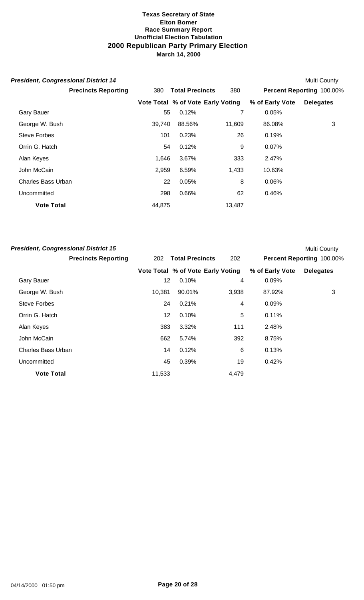| <b>President, Congressional District 14</b> |        |                                   |        |                 | Multi County              |
|---------------------------------------------|--------|-----------------------------------|--------|-----------------|---------------------------|
| <b>Precincts Reporting</b>                  | 380    | <b>Total Precincts</b>            | 380    |                 | Percent Reporting 100.00% |
|                                             |        | Vote Total % of Vote Early Voting |        | % of Early Vote | <b>Delegates</b>          |
| <b>Gary Bauer</b>                           | 55     | 0.12%                             |        | 0.05%           |                           |
| George W. Bush                              | 39,740 | 88.56%                            | 11.609 | 86.08%          | 3                         |
| Steve Forbes                                | 101    | 0.23%                             | 26     | 0.19%           |                           |
| Orrin G. Hatch                              | 54     | 0.12%                             | 9      | $0.07\%$        |                           |
| Alan Keyes                                  | 1,646  | 3.67%                             | 333    | 2.47%           |                           |
| John McCain                                 | 2,959  | 6.59%                             | 1,433  | 10.63%          |                           |
| <b>Charles Bass Urban</b>                   | 22     | 0.05%                             | 8      | 0.06%           |                           |
| Uncommitted                                 | 298    | 0.66%                             | 62     | 0.46%           |                           |
| <b>Vote Total</b>                           | 44,875 |                                   | 13,487 |                 |                           |

| <b>President, Congressional District 15</b> |        |                                   |       |                 | <b>Multi County</b>       |
|---------------------------------------------|--------|-----------------------------------|-------|-----------------|---------------------------|
| <b>Precincts Reporting</b>                  | 202    | <b>Total Precincts</b>            | 202   |                 | Percent Reporting 100.00% |
|                                             |        | Vote Total % of Vote Early Voting |       | % of Early Vote | <b>Delegates</b>          |
| <b>Gary Bauer</b>                           | 12     | 0.10%                             | 4     | 0.09%           |                           |
| George W. Bush                              | 10,381 | 90.01%                            | 3,938 | 87.92%          | 3                         |
| <b>Steve Forbes</b>                         | 24     | 0.21%                             | 4     | 0.09%           |                           |
| Orrin G. Hatch                              | 12     | 0.10%                             | 5     | 0.11%           |                           |
| Alan Keyes                                  | 383    | 3.32%                             | 111   | 2.48%           |                           |
| John McCain                                 | 662    | 5.74%                             | 392   | 8.75%           |                           |
| <b>Charles Bass Urban</b>                   | 14     | 0.12%                             | 6     | 0.13%           |                           |
| Uncommitted                                 | 45     | 0.39%                             | 19    | 0.42%           |                           |
| <b>Vote Total</b>                           | 11,533 |                                   | 4,479 |                 |                           |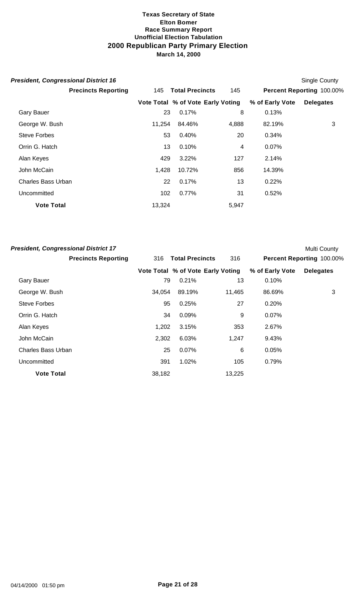| <b>President, Congressional District 16</b> |        |                                   |       |                 | Single County             |
|---------------------------------------------|--------|-----------------------------------|-------|-----------------|---------------------------|
| <b>Precincts Reporting</b>                  | 145    | <b>Total Precincts</b>            | 145   |                 | Percent Reporting 100.00% |
|                                             |        | Vote Total % of Vote Early Voting |       | % of Early Vote | <b>Delegates</b>          |
| <b>Gary Bauer</b>                           | 23     | 0.17%                             | 8     | 0.13%           |                           |
| George W. Bush                              | 11.254 | 84.46%                            | 4,888 | 82.19%          | 3                         |
| Steve Forbes                                | 53     | 0.40%                             | 20    | 0.34%           |                           |
| Orrin G. Hatch                              | 13     | 0.10%                             | 4     | $0.07\%$        |                           |
| Alan Keyes                                  | 429    | 3.22%                             | 127   | 2.14%           |                           |
| John McCain                                 | 1,428  | 10.72%                            | 856   | 14.39%          |                           |
| Charles Bass Urban                          | 22     | 0.17%                             | 13    | 0.22%           |                           |
| Uncommitted                                 | 102    | 0.77%                             | 31    | 0.52%           |                           |
| <b>Vote Total</b>                           | 13,324 |                                   | 5,947 |                 |                           |

| <b>President, Congressional District 17</b> |        |                                   |        |                 | <b>Multi County</b>       |
|---------------------------------------------|--------|-----------------------------------|--------|-----------------|---------------------------|
| <b>Precincts Reporting</b>                  | 316    | <b>Total Precincts</b>            | 316    |                 | Percent Reporting 100.00% |
|                                             |        | Vote Total % of Vote Early Voting |        | % of Early Vote | <b>Delegates</b>          |
| <b>Gary Bauer</b>                           | 79     | 0.21%                             | 13     | 0.10%           |                           |
| George W. Bush                              | 34,054 | 89.19%                            | 11,465 | 86.69%          | 3                         |
| <b>Steve Forbes</b>                         | 95     | 0.25%                             | 27     | 0.20%           |                           |
| Orrin G. Hatch                              | 34     | 0.09%                             | 9      | 0.07%           |                           |
| Alan Keyes                                  | 1,202  | 3.15%                             | 353    | 2.67%           |                           |
| John McCain                                 | 2,302  | 6.03%                             | 1,247  | 9.43%           |                           |
| <b>Charles Bass Urban</b>                   | 25     | 0.07%                             | 6      | 0.05%           |                           |
| Uncommitted                                 | 391    | 1.02%                             | 105    | 0.79%           |                           |
| <b>Vote Total</b>                           | 38,182 |                                   | 13,225 |                 |                           |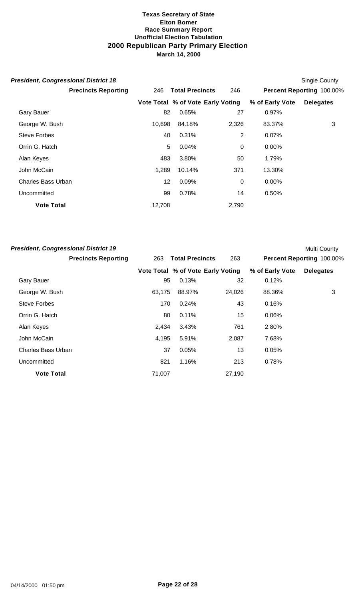| <b>President, Congressional District 18</b> |        |                                   |                |                 | <b>Single County</b>      |
|---------------------------------------------|--------|-----------------------------------|----------------|-----------------|---------------------------|
| <b>Precincts Reporting</b>                  | 246    | <b>Total Precincts</b>            | 246            |                 | Percent Reporting 100.00% |
|                                             |        | Vote Total % of Vote Early Voting |                | % of Early Vote | <b>Delegates</b>          |
| <b>Gary Bauer</b>                           | 82     | 0.65%                             | 27             | 0.97%           |                           |
| George W. Bush                              | 10,698 | 84.18%                            | 2,326          | 83.37%          | 3                         |
| <b>Steve Forbes</b>                         | 40     | 0.31%                             | $\overline{2}$ | 0.07%           |                           |
| Orrin G. Hatch                              | 5      | 0.04%                             | $\mathbf 0$    | $0.00\%$        |                           |
| Alan Keyes                                  | 483    | 3.80%                             | 50             | 1.79%           |                           |
| John McCain                                 | 1,289  | 10.14%                            | 371            | 13.30%          |                           |
| <b>Charles Bass Urban</b>                   | 12     | 0.09%                             | 0              | $0.00\%$        |                           |
| Uncommitted                                 | 99     | 0.78%                             | 14             | 0.50%           |                           |
| <b>Vote Total</b>                           | 12,708 |                                   | 2,790          |                 |                           |

| <b>President, Congressional District 19</b> |        |                                   |        |                 | Multi County              |
|---------------------------------------------|--------|-----------------------------------|--------|-----------------|---------------------------|
| <b>Precincts Reporting</b>                  | 263    | <b>Total Precincts</b>            | 263    |                 | Percent Reporting 100.00% |
|                                             |        | Vote Total % of Vote Early Voting |        | % of Early Vote | <b>Delegates</b>          |
| <b>Gary Bauer</b>                           | 95     | 0.13%                             | 32     | 0.12%           |                           |
| George W. Bush                              | 63,175 | 88.97%                            | 24,026 | 88.36%          | 3                         |
| <b>Steve Forbes</b>                         | 170    | 0.24%                             | 43     | 0.16%           |                           |
| Orrin G. Hatch                              | 80     | 0.11%                             | 15     | 0.06%           |                           |
| Alan Keyes                                  | 2,434  | 3.43%                             | 761    | 2.80%           |                           |
| John McCain                                 | 4,195  | 5.91%                             | 2,087  | 7.68%           |                           |
| <b>Charles Bass Urban</b>                   | 37     | 0.05%                             | 13     | 0.05%           |                           |
| Uncommitted                                 | 821    | 1.16%                             | 213    | 0.78%           |                           |
| <b>Vote Total</b>                           | 71,007 |                                   | 27,190 |                 |                           |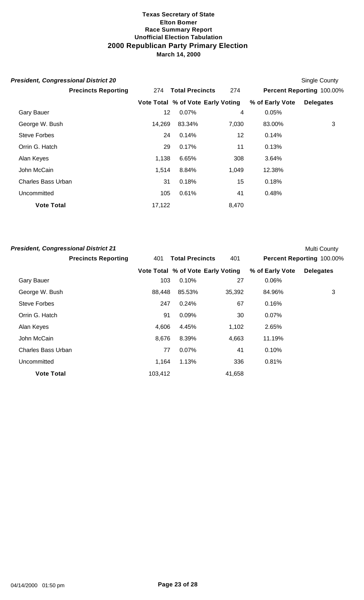| <b>President, Congressional District 20</b> |        |                                   |       |                 | <b>Single County</b>      |
|---------------------------------------------|--------|-----------------------------------|-------|-----------------|---------------------------|
| <b>Precincts Reporting</b>                  | 274    | <b>Total Precincts</b>            | 274   |                 | Percent Reporting 100.00% |
|                                             |        | Vote Total % of Vote Early Voting |       | % of Early Vote | <b>Delegates</b>          |
| <b>Gary Bauer</b>                           | 12     | 0.07%                             | 4     | 0.05%           |                           |
| George W. Bush                              | 14,269 | 83.34%                            | 7,030 | 83.00%          | 3                         |
| Steve Forbes                                | 24     | 0.14%                             | 12    | 0.14%           |                           |
| Orrin G. Hatch                              | 29     | 0.17%                             | 11    | 0.13%           |                           |
| Alan Keyes                                  | 1,138  | 6.65%                             | 308   | 3.64%           |                           |
| John McCain                                 | 1,514  | 8.84%                             | 1,049 | 12.38%          |                           |
| <b>Charles Bass Urban</b>                   | 31     | 0.18%                             | 15    | 0.18%           |                           |
| Uncommitted                                 | 105    | 0.61%                             | 41    | 0.48%           |                           |
| <b>Vote Total</b>                           | 17,122 |                                   | 8,470 |                 |                           |

| <b>President, Congressional District 21</b> |         |                                   |        |                 | <b>Multi County</b>       |
|---------------------------------------------|---------|-----------------------------------|--------|-----------------|---------------------------|
| <b>Precincts Reporting</b>                  | 401     | <b>Total Precincts</b>            | 401    |                 | Percent Reporting 100.00% |
|                                             |         | Vote Total % of Vote Early Voting |        | % of Early Vote | <b>Delegates</b>          |
| <b>Gary Bauer</b>                           | 103     | 0.10%                             | 27     | 0.06%           |                           |
| George W. Bush                              | 88,448  | 85.53%                            | 35,392 | 84.96%          | 3                         |
| Steve Forbes                                | 247     | 0.24%                             | 67     | 0.16%           |                           |
| Orrin G. Hatch                              | 91      | 0.09%                             | 30     | 0.07%           |                           |
| Alan Keyes                                  | 4,606   | 4.45%                             | 1,102  | 2.65%           |                           |
| John McCain                                 | 8,676   | 8.39%                             | 4,663  | 11.19%          |                           |
| <b>Charles Bass Urban</b>                   | 77      | 0.07%                             | 41     | 0.10%           |                           |
| Uncommitted                                 | 1,164   | 1.13%                             | 336    | 0.81%           |                           |
| <b>Vote Total</b>                           | 103,412 |                                   | 41,658 |                 |                           |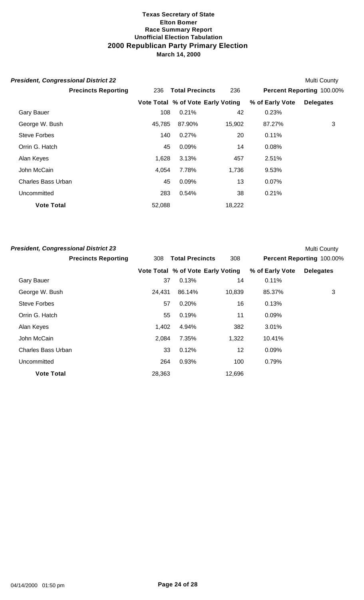| <b>President, Congressional District 22</b> |        |                                   |        |                 | Multi County              |
|---------------------------------------------|--------|-----------------------------------|--------|-----------------|---------------------------|
| <b>Precincts Reporting</b>                  | 236    | <b>Total Precincts</b>            | 236    |                 | Percent Reporting 100.00% |
|                                             |        | Vote Total % of Vote Early Voting |        | % of Early Vote | <b>Delegates</b>          |
| <b>Gary Bauer</b>                           | 108    | 0.21%                             | 42     | 0.23%           |                           |
| George W. Bush                              | 45.785 | 87.90%                            | 15,902 | 87.27%          | 3                         |
| Steve Forbes                                | 140    | 0.27%                             | 20     | 0.11%           |                           |
| Orrin G. Hatch                              | 45     | 0.09%                             | 14     | 0.08%           |                           |
| Alan Keyes                                  | 1,628  | 3.13%                             | 457    | 2.51%           |                           |
| John McCain                                 | 4.054  | 7.78%                             | 1,736  | 9.53%           |                           |
| Charles Bass Urban                          | 45     | 0.09%                             | 13     | $0.07\%$        |                           |
| Uncommitted                                 | 283    | 0.54%                             | 38     | 0.21%           |                           |
| <b>Vote Total</b>                           | 52,088 |                                   | 18,222 |                 |                           |

| <b>President, Congressional District 23</b> |        |                                   |        |                 | <b>Multi County</b>       |
|---------------------------------------------|--------|-----------------------------------|--------|-----------------|---------------------------|
| <b>Precincts Reporting</b>                  | 308    | <b>Total Precincts</b>            | 308    |                 | Percent Reporting 100.00% |
|                                             |        | Vote Total % of Vote Early Voting |        | % of Early Vote | <b>Delegates</b>          |
| <b>Gary Bauer</b>                           | 37     | 0.13%                             | 14     | 0.11%           |                           |
| George W. Bush                              | 24,431 | 86.14%                            | 10,839 | 85.37%          | 3                         |
| <b>Steve Forbes</b>                         | 57     | 0.20%                             | 16     | 0.13%           |                           |
| Orrin G. Hatch                              | 55     | 0.19%                             | 11     | 0.09%           |                           |
| Alan Keyes                                  | 1,402  | 4.94%                             | 382    | 3.01%           |                           |
| John McCain                                 | 2,084  | 7.35%                             | 1,322  | 10.41%          |                           |
| <b>Charles Bass Urban</b>                   | 33     | 0.12%                             | 12     | $0.09\%$        |                           |
| Uncommitted                                 | 264    | 0.93%                             | 100    | 0.79%           |                           |
| <b>Vote Total</b>                           | 28,363 |                                   | 12,696 |                 |                           |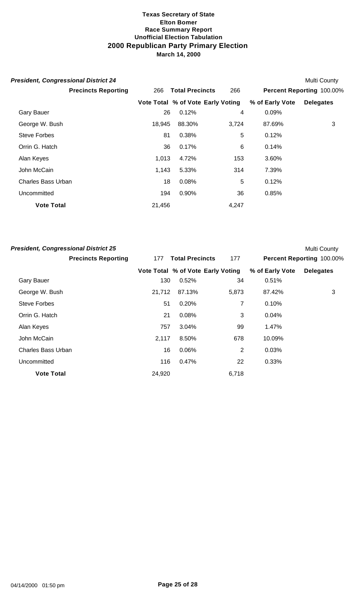|     |        |                                                                   |                                                             | Multi County              |
|-----|--------|-------------------------------------------------------------------|-------------------------------------------------------------|---------------------------|
| 266 |        | 266                                                               |                                                             | Percent Reporting 100.00% |
|     |        |                                                                   | % of Early Vote                                             | <b>Delegates</b>          |
|     | 0.12%  | 4                                                                 | 0.09%                                                       |                           |
|     | 88.30% | 3,724                                                             | 87.69%                                                      | 3                         |
|     | 0.38%  | 5                                                                 | 0.12%                                                       |                           |
|     | 0.17%  | 6                                                                 | 0.14%                                                       |                           |
|     | 4.72%  | 153                                                               | 3.60%                                                       |                           |
|     | 5.33%  | 314                                                               | 7.39%                                                       |                           |
|     | 0.08%  | 5                                                                 | 0.12%                                                       |                           |
|     | 0.90%  | 36                                                                | 0.85%                                                       |                           |
|     |        | 4,247                                                             |                                                             |                           |
|     |        | 26<br>18,945<br>81<br>36<br>1,013<br>1,143<br>18<br>194<br>21,456 | <b>Total Precincts</b><br>Vote Total % of Vote Early Voting |                           |

| <b>President, Congressional District 25</b> |        |                                   |                |                 | <b>Multi County</b>       |
|---------------------------------------------|--------|-----------------------------------|----------------|-----------------|---------------------------|
| <b>Precincts Reporting</b>                  | 177    | <b>Total Precincts</b>            | 177            |                 | Percent Reporting 100.00% |
|                                             |        | Vote Total % of Vote Early Voting |                | % of Early Vote | <b>Delegates</b>          |
| <b>Gary Bauer</b>                           | 130    | 0.52%                             | 34             | 0.51%           |                           |
| George W. Bush                              | 21,712 | 87.13%                            | 5,873          | 87.42%          | 3                         |
| Steve Forbes                                | 51     | 0.20%                             | 7              | 0.10%           |                           |
| Orrin G. Hatch                              | 21     | 0.08%                             | 3              | 0.04%           |                           |
| Alan Keyes                                  | 757    | 3.04%                             | 99             | 1.47%           |                           |
| John McCain                                 | 2,117  | 8.50%                             | 678            | 10.09%          |                           |
| <b>Charles Bass Urban</b>                   | 16     | 0.06%                             | $\overline{2}$ | 0.03%           |                           |
| Uncommitted                                 | 116    | 0.47%                             | 22             | 0.33%           |                           |
| <b>Vote Total</b>                           | 24,920 |                                   | 6,718          |                 |                           |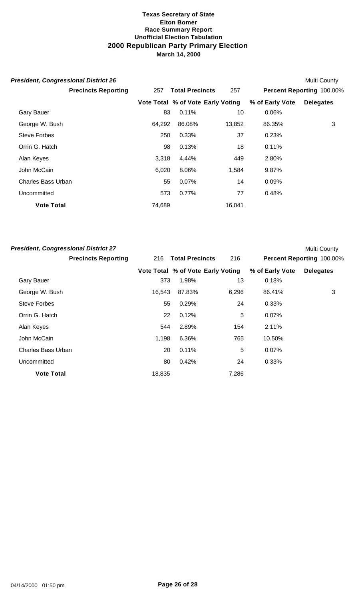| <b>President, Congressional District 26</b> |        |                                   |        |                 | Multi County              |
|---------------------------------------------|--------|-----------------------------------|--------|-----------------|---------------------------|
| <b>Precincts Reporting</b>                  | 257    | <b>Total Precincts</b>            | 257    |                 | Percent Reporting 100.00% |
|                                             |        | Vote Total % of Vote Early Voting |        | % of Early Vote | <b>Delegates</b>          |
| <b>Gary Bauer</b>                           | 83     | $0.11\%$                          | 10     | 0.06%           |                           |
| George W. Bush                              | 64,292 | 86.08%                            | 13,852 | 86.35%          | 3                         |
| <b>Steve Forbes</b>                         | 250    | 0.33%                             | 37     | 0.23%           |                           |
| Orrin G. Hatch                              | 98     | 0.13%                             | 18     | 0.11%           |                           |
| Alan Keyes                                  | 3,318  | 4.44%                             | 449    | 2.80%           |                           |
| John McCain                                 | 6,020  | 8.06%                             | 1,584  | 9.87%           |                           |
| <b>Charles Bass Urban</b>                   | 55     | 0.07%                             | 14     | $0.09\%$        |                           |
| Uncommitted                                 | 573    | 0.77%                             | 77     | 0.48%           |                           |
| <b>Vote Total</b>                           | 74,689 |                                   | 16,041 |                 |                           |

| <b>President, Congressional District 27</b> |        |                                   |       |                 | <b>Multi County</b>       |
|---------------------------------------------|--------|-----------------------------------|-------|-----------------|---------------------------|
| <b>Precincts Reporting</b>                  | 216    | <b>Total Precincts</b>            | 216   |                 | Percent Reporting 100.00% |
|                                             |        | Vote Total % of Vote Early Voting |       | % of Early Vote | <b>Delegates</b>          |
| <b>Gary Bauer</b>                           | 373    | 1.98%                             | 13    | 0.18%           |                           |
| George W. Bush                              | 16.543 | 87.83%                            | 6,296 | 86.41%          | 3                         |
| Steve Forbes                                | 55     | 0.29%                             | 24    | 0.33%           |                           |
| Orrin G. Hatch                              | 22     | 0.12%                             | 5     | $0.07\%$        |                           |
| Alan Keyes                                  | 544    | 2.89%                             | 154   | 2.11%           |                           |
| John McCain                                 | 1,198  | 6.36%                             | 765   | 10.50%          |                           |
| <b>Charles Bass Urban</b>                   | 20     | 0.11%                             | 5     | $0.07\%$        |                           |
| Uncommitted                                 | 80     | 0.42%                             | 24    | 0.33%           |                           |
| <b>Vote Total</b>                           | 18,835 |                                   | 7,286 |                 |                           |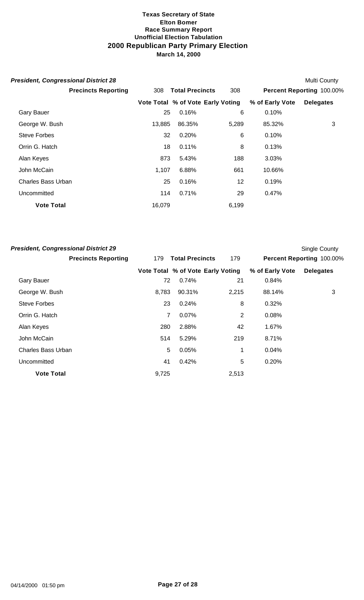| Multi County                                                             |        | <b>President, Congressional District 28</b> |
|--------------------------------------------------------------------------|--------|---------------------------------------------|
| <b>Total Precincts</b><br>308<br>Percent Reporting 100.00%               | 308    | <b>Precincts Reporting</b>                  |
| Vote Total % of Vote Early Voting<br>% of Early Vote<br><b>Delegates</b> |        |                                             |
| 0.16%<br>6<br>0.10%                                                      | 25     | <b>Gary Bauer</b>                           |
| 3<br>85.32%<br>86.35%<br>5,289                                           | 13,885 | George W. Bush                              |
| 0.20%<br>6<br>0.10%                                                      | 32     | <b>Steve Forbes</b>                         |
| 0.11%<br>8<br>0.13%                                                      | 18     | Orrin G. Hatch                              |
| 5.43%<br>188<br>3.03%                                                    | 873    | Alan Keyes                                  |
| 6.88%<br>661<br>10.66%                                                   | 1,107  | John McCain                                 |
| 12<br>0.16%<br>0.19%                                                     | 25     | <b>Charles Bass Urban</b>                   |
| 0.71%<br>29<br>0.47%                                                     | 114    | Uncommitted                                 |
| 6,199                                                                    | 16,079 | <b>Vote Total</b>                           |
|                                                                          |        |                                             |

| <b>President, Congressional District 29</b> |       |                                   |                |                 | <b>Single County</b>      |
|---------------------------------------------|-------|-----------------------------------|----------------|-----------------|---------------------------|
| <b>Precincts Reporting</b>                  | 179   | <b>Total Precincts</b>            | 179            |                 | Percent Reporting 100.00% |
|                                             |       | Vote Total % of Vote Early Voting |                | % of Early Vote | <b>Delegates</b>          |
| <b>Gary Bauer</b>                           | 72    | 0.74%                             | 21             | 0.84%           |                           |
| George W. Bush                              | 8,783 | 90.31%                            | 2,215          | 88.14%          | 3                         |
| <b>Steve Forbes</b>                         | 23    | 0.24%                             | 8              | 0.32%           |                           |
| Orrin G. Hatch                              | 7     | 0.07%                             | $\overline{2}$ | 0.08%           |                           |
| Alan Keyes                                  | 280   | 2.88%                             | 42             | 1.67%           |                           |
| John McCain                                 | 514   | 5.29%                             | 219            | 8.71%           |                           |
| <b>Charles Bass Urban</b>                   | 5     | 0.05%                             | 1              | 0.04%           |                           |
| Uncommitted                                 | 41    | 0.42%                             | 5              | 0.20%           |                           |
| <b>Vote Total</b>                           | 9,725 |                                   | 2,513          |                 |                           |